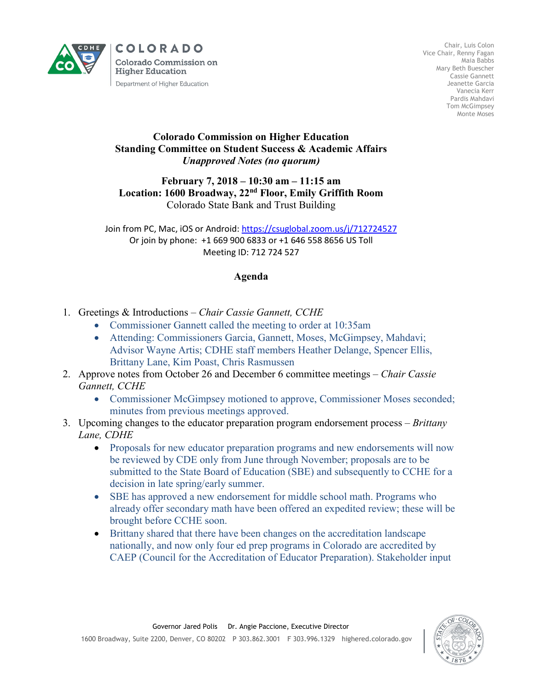

**COLORADO Colorado Commission on Higher Education** Department of Higher Education

Chair, Luis Colon Vice Chair, Renny Fagan Maia Babbs Mary Beth Buescher Cassie Gannett Jeanette Garcia Vanecia Kerr Pardis Mahdavi Tom McGimpsey Monte Moses

## **Colorado Commission on Higher Education Standing Committee on Student Success & Academic Affairs** *Unapproved Notes (no quorum)*

## **February 7, 2018 – 10:30 am – 11:15 am Location: 1600 Broadway, 22nd Floor, Emily Griffith Room** Colorado State Bank and Trust Building

Join from PC, Mac, iOS or Android:<https://csuglobal.zoom.us/j/712724527> Or join by phone: +1 669 900 6833 or +1 646 558 8656 US Toll Meeting ID: 712 724 527

## **Agenda**

- 1. Greetings & Introductions *– Chair Cassie Gannett, CCHE*
	- Commissioner Gannett called the meeting to order at 10:35am
	- Attending: Commissioners Garcia, Gannett, Moses, McGimpsey, Mahdavi; Advisor Wayne Artis; CDHE staff members Heather Delange, Spencer Ellis, Brittany Lane, Kim Poast, Chris Rasmussen
- 2. Approve notes from October 26 and December 6 committee meetings *Chair Cassie Gannett, CCHE*
	- Commissioner McGimpsey motioned to approve, Commissioner Moses seconded; minutes from previous meetings approved.
- 3. Upcoming changes to the educator preparation program endorsement process *Brittany Lane, CDHE*
	- Proposals for new educator preparation programs and new endorsements will now be reviewed by CDE only from June through November; proposals are to be submitted to the State Board of Education (SBE) and subsequently to CCHE for a decision in late spring/early summer.
	- SBE has approved a new endorsement for middle school math. Programs who already offer secondary math have been offered an expedited review; these will be brought before CCHE soon.
	- Brittany shared that there have been changes on the accreditation landscape nationally, and now only four ed prep programs in Colorado are accredited by CAEP (Council for the Accreditation of Educator Preparation). Stakeholder input

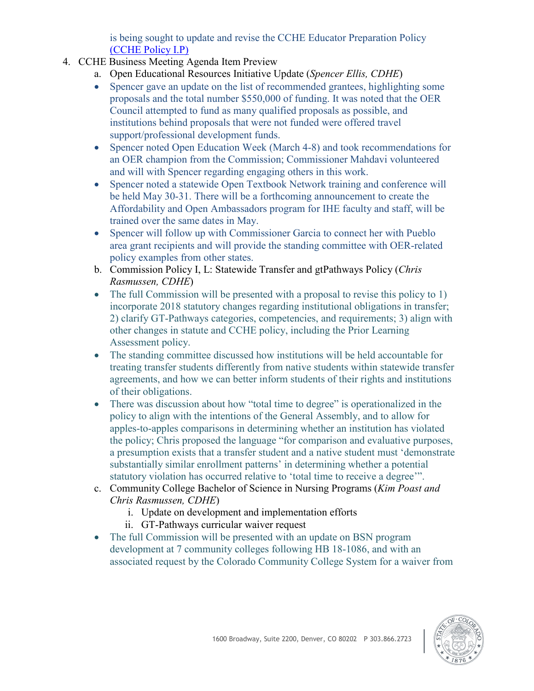is being sought to update and revise the CCHE Educator Preparation Policy [\(CCHE Policy I.P\)](https://highered.colorado.gov/Publications/Policies/Current/i-partp.pdf)

- 4. CCHE Business Meeting Agenda Item Preview
	- a. Open Educational Resources Initiative Update (*Spencer Ellis, CDHE*)
	- Spencer gave an update on the list of recommended grantees, highlighting some proposals and the total number \$550,000 of funding. It was noted that the OER Council attempted to fund as many qualified proposals as possible, and institutions behind proposals that were not funded were offered travel support/professional development funds.
	- Spencer noted Open Education Week (March 4-8) and took recommendations for an OER champion from the Commission; Commissioner Mahdavi volunteered and will with Spencer regarding engaging others in this work.
	- Spencer noted a statewide Open Textbook Network training and conference will be held May 30-31. There will be a forthcoming announcement to create the Affordability and Open Ambassadors program for IHE faculty and staff, will be trained over the same dates in May.
	- Spencer will follow up with Commissioner Garcia to connect her with Pueblo area grant recipients and will provide the standing committee with OER-related policy examples from other states.
	- b. Commission Policy I, L: Statewide Transfer and gtPathways Policy (*Chris Rasmussen, CDHE*)
	- The full Commission will be presented with a proposal to revise this policy to 1) incorporate 2018 statutory changes regarding institutional obligations in transfer; 2) clarify GT-Pathways categories, competencies, and requirements; 3) align with other changes in statute and CCHE policy, including the Prior Learning Assessment policy.
	- The standing committee discussed how institutions will be held accountable for treating transfer students differently from native students within statewide transfer agreements, and how we can better inform students of their rights and institutions of their obligations.
	- There was discussion about how "total time to degree" is operationalized in the policy to align with the intentions of the General Assembly, and to allow for apples-to-apples comparisons in determining whether an institution has violated the policy; Chris proposed the language "for comparison and evaluative purposes, a presumption exists that a transfer student and a native student must 'demonstrate substantially similar enrollment patterns' in determining whether a potential statutory violation has occurred relative to 'total time to receive a degree'".
	- c. Community College Bachelor of Science in Nursing Programs (*Kim Poast and Chris Rasmussen, CDHE*)
		- i. Update on development and implementation efforts
		- ii. GT-Pathways curricular waiver request
	- The full Commission will be presented with an update on BSN program development at 7 community colleges following HB 18-1086, and with an associated request by the Colorado Community College System for a waiver from